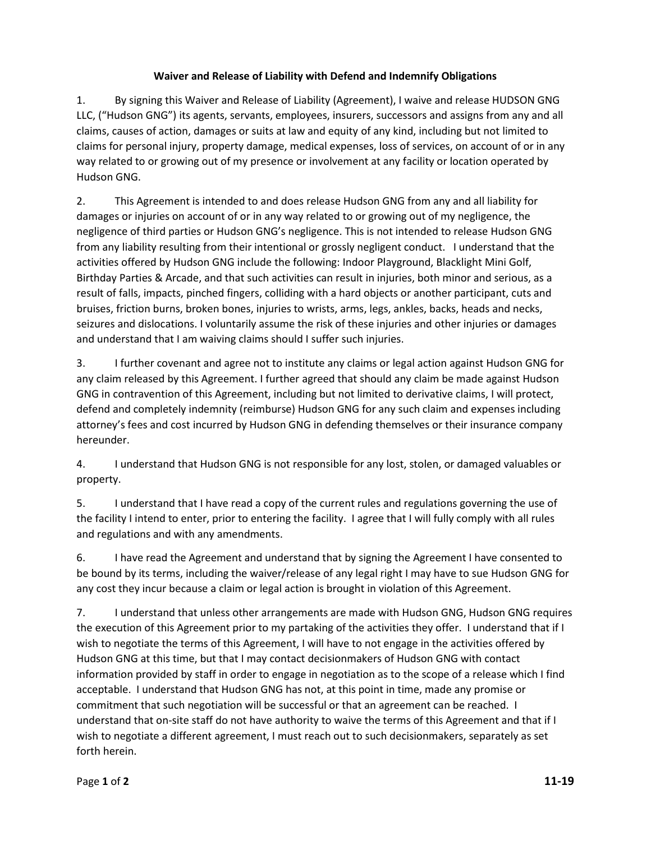## **Waiver and Release of Liability with Defend and Indemnify Obligations**

1. By signing this Waiver and Release of Liability (Agreement), I waive and release HUDSON GNG LLC, ("Hudson GNG") its agents, servants, employees, insurers, successors and assigns from any and all claims, causes of action, damages or suits at law and equity of any kind, including but not limited to claims for personal injury, property damage, medical expenses, loss of services, on account of or in any way related to or growing out of my presence or involvement at any facility or location operated by Hudson GNG.

2. This Agreement is intended to and does release Hudson GNG from any and all liability for damages or injuries on account of or in any way related to or growing out of my negligence, the negligence of third parties or Hudson GNG's negligence. This is not intended to release Hudson GNG from any liability resulting from their intentional or grossly negligent conduct. I understand that the activities offered by Hudson GNG include the following: Indoor Playground, Blacklight Mini Golf, Birthday Parties & Arcade, and that such activities can result in injuries, both minor and serious, as a result of falls, impacts, pinched fingers, colliding with a hard objects or another participant, cuts and bruises, friction burns, broken bones, injuries to wrists, arms, legs, ankles, backs, heads and necks, seizures and dislocations. I voluntarily assume the risk of these injuries and other injuries or damages and understand that I am waiving claims should I suffer such injuries.

3. I further covenant and agree not to institute any claims or legal action against Hudson GNG for any claim released by this Agreement. I further agreed that should any claim be made against Hudson GNG in contravention of this Agreement, including but not limited to derivative claims, I will protect, defend and completely indemnity (reimburse) Hudson GNG for any such claim and expenses including attorney's fees and cost incurred by Hudson GNG in defending themselves or their insurance company hereunder.

4. I understand that Hudson GNG is not responsible for any lost, stolen, or damaged valuables or property.

5. I understand that I have read a copy of the current rules and regulations governing the use of the facility I intend to enter, prior to entering the facility. I agree that I will fully comply with all rules and regulations and with any amendments.

6. I have read the Agreement and understand that by signing the Agreement I have consented to be bound by its terms, including the waiver/release of any legal right I may have to sue Hudson GNG for any cost they incur because a claim or legal action is brought in violation of this Agreement.

7. I understand that unless other arrangements are made with Hudson GNG, Hudson GNG requires the execution of this Agreement prior to my partaking of the activities they offer. I understand that if I wish to negotiate the terms of this Agreement, I will have to not engage in the activities offered by Hudson GNG at this time, but that I may contact decisionmakers of Hudson GNG with contact information provided by staff in order to engage in negotiation as to the scope of a release which I find acceptable. I understand that Hudson GNG has not, at this point in time, made any promise or commitment that such negotiation will be successful or that an agreement can be reached. I understand that on-site staff do not have authority to waive the terms of this Agreement and that if I wish to negotiate a different agreement, I must reach out to such decisionmakers, separately as set forth herein.